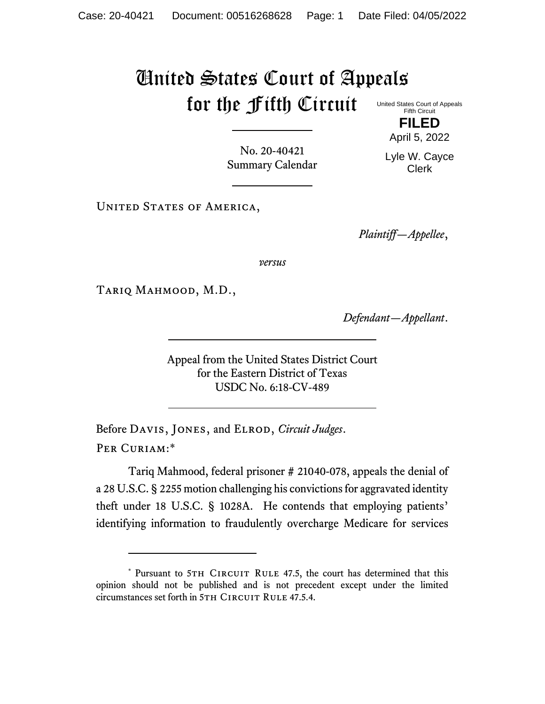## United States Court of Appeals for the Fifth Circuit

United States Court of Appeals Fifth Circuit **FILED**

April 5, 2022

No. 20-40421 Summary Calendar

Lyle W. Cayce Clerk

UNITED STATES OF AMERICA,

*Plaintiff—Appellee*,

*versus*

Tariq Mahmood, M.D.,

*Defendant—Appellant*.

Appeal from the United States District Court for the Eastern District of Texas USDC No. 6:18-CV-489

Before DAVIS, JONES, and ELROD, *Circuit Judges*. Per Curiam:\*

Tariq Mahmood, federal prisoner # 21040-078, appeals the denial of a 28 U.S.C. § 2255 motion challenging his convictions for aggravated identity theft under 18 U.S.C. § 1028A. He contends that employing patients' identifying information to fraudulently overcharge Medicare for services

<sup>\*</sup> Pursuant to 5TH CIRCUIT RULE 47.5, the court has determined that this opinion should not be published and is not precedent except under the limited circumstances set forth in 5TH CIRCUIT RULE 47.5.4.